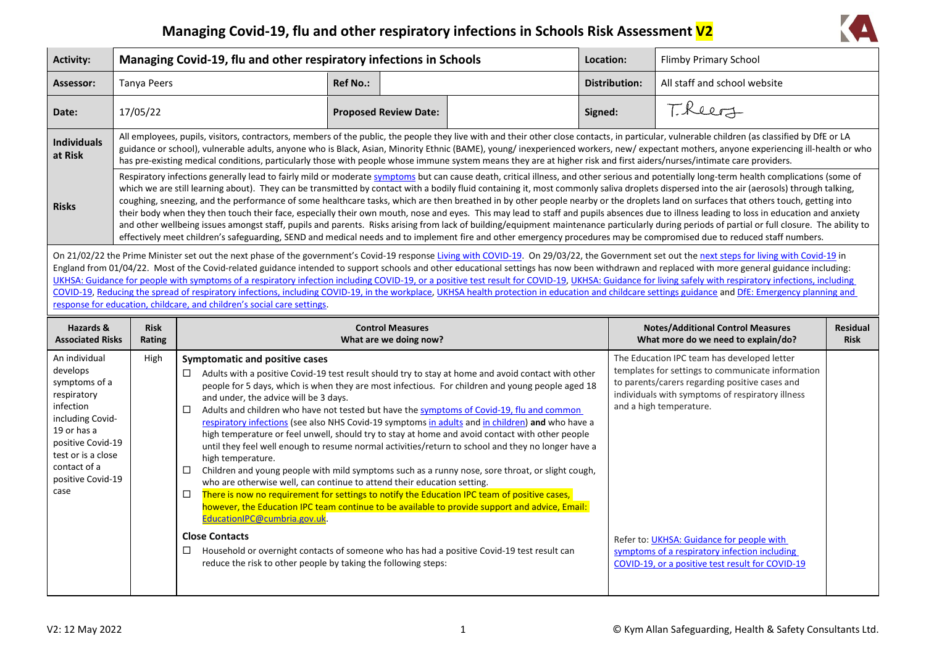## **Managing Covid-19, flu and other respiratory infections in Schools Risk Assessment V2**



| <b>Activity:</b>                                                                                                                                                                                  | Managing Covid-19, flu and other respiratory infections in Schools                                                                                                                                                                                                                                                                                                                                                                                                                                                                                                                                                                                                                                                                                                                                                                                                                                                                                                                                                                                                                                                                                        |                                                                                                                                                                                                                                                                                                                                                       |                                                   | Location:                                                                                                                                                                                                                                                                                                                                                                                                                                                                                                                                                                                                                                                                                                                                                                                                               | Flimby Primary School |                                                                                                                                                                                                                                                                                                                                                                                         |                                |
|---------------------------------------------------------------------------------------------------------------------------------------------------------------------------------------------------|-----------------------------------------------------------------------------------------------------------------------------------------------------------------------------------------------------------------------------------------------------------------------------------------------------------------------------------------------------------------------------------------------------------------------------------------------------------------------------------------------------------------------------------------------------------------------------------------------------------------------------------------------------------------------------------------------------------------------------------------------------------------------------------------------------------------------------------------------------------------------------------------------------------------------------------------------------------------------------------------------------------------------------------------------------------------------------------------------------------------------------------------------------------|-------------------------------------------------------------------------------------------------------------------------------------------------------------------------------------------------------------------------------------------------------------------------------------------------------------------------------------------------------|---------------------------------------------------|-------------------------------------------------------------------------------------------------------------------------------------------------------------------------------------------------------------------------------------------------------------------------------------------------------------------------------------------------------------------------------------------------------------------------------------------------------------------------------------------------------------------------------------------------------------------------------------------------------------------------------------------------------------------------------------------------------------------------------------------------------------------------------------------------------------------------|-----------------------|-----------------------------------------------------------------------------------------------------------------------------------------------------------------------------------------------------------------------------------------------------------------------------------------------------------------------------------------------------------------------------------------|--------------------------------|
| Assessor:                                                                                                                                                                                         | <b>Tanya Peers</b>                                                                                                                                                                                                                                                                                                                                                                                                                                                                                                                                                                                                                                                                                                                                                                                                                                                                                                                                                                                                                                                                                                                                        |                                                                                                                                                                                                                                                                                                                                                       | <b>Ref No.:</b>                                   |                                                                                                                                                                                                                                                                                                                                                                                                                                                                                                                                                                                                                                                                                                                                                                                                                         | <b>Distribution:</b>  | All staff and school website                                                                                                                                                                                                                                                                                                                                                            |                                |
| Date:                                                                                                                                                                                             | 17/05/22                                                                                                                                                                                                                                                                                                                                                                                                                                                                                                                                                                                                                                                                                                                                                                                                                                                                                                                                                                                                                                                                                                                                                  |                                                                                                                                                                                                                                                                                                                                                       | <b>Proposed Review Date:</b>                      |                                                                                                                                                                                                                                                                                                                                                                                                                                                                                                                                                                                                                                                                                                                                                                                                                         | Signed:               | Theers                                                                                                                                                                                                                                                                                                                                                                                  |                                |
| <b>Individuals</b><br>at Risk                                                                                                                                                                     |                                                                                                                                                                                                                                                                                                                                                                                                                                                                                                                                                                                                                                                                                                                                                                                                                                                                                                                                                                                                                                                                                                                                                           | has pre-existing medical conditions, particularly those with people whose immune system means they are at higher risk and first aiders/nurses/intimate care providers.                                                                                                                                                                                |                                                   |                                                                                                                                                                                                                                                                                                                                                                                                                                                                                                                                                                                                                                                                                                                                                                                                                         |                       | All employees, pupils, visitors, contractors, members of the public, the people they live with and their other close contacts, in particular, vulnerable children (as classified by DfE or LA<br>guidance or school), vulnerable adults, anyone who is Black, Asian, Minority Ethnic (BAME), young/ inexperienced workers, new/expectant mothers, anyone experiencing ill-health or who |                                |
| <b>Risks</b>                                                                                                                                                                                      | Respiratory infections generally lead to fairly mild or moderate symptoms but can cause death, critical illness, and other serious and potentially long-term health complications (some of<br>which we are still learning about). They can be transmitted by contact with a bodily fluid containing it, most commonly saliva droplets dispersed into the air (aerosols) through talking,<br>coughing, sneezing, and the performance of some healthcare tasks, which are then breathed in by other people nearby or the droplets land on surfaces that others touch, getting into<br>their body when they then touch their face, especially their own mouth, nose and eyes. This may lead to staff and pupils absences due to illness leading to loss in education and anxiety<br>and other wellbeing issues amongst staff, pupils and parents. Risks arising from lack of building/equipment maintenance particularly during periods of partial or full closure. The ability to<br>effectively meet children's safeguarding, SEND and medical needs and to implement fire and other emergency procedures may be compromised due to reduced staff numbers. |                                                                                                                                                                                                                                                                                                                                                       |                                                   |                                                                                                                                                                                                                                                                                                                                                                                                                                                                                                                                                                                                                                                                                                                                                                                                                         |                       |                                                                                                                                                                                                                                                                                                                                                                                         |                                |
|                                                                                                                                                                                                   | On 21/02/22 the Prime Minister set out the next phase of the government's Covid-19 response Living with COVID-19. On 29/03/22, the Government set out the next steps for living with Covid-19 in<br>England from 01/04/22. Most of the Covid-related guidance intended to support schools and other educational settings has now been withdrawn and replaced with more general guidance including:<br>UKHSA: Guidance for people with symptoms of a respiratory infection including COVID-19, or a positive test result for COVID-19, UKHSA: Guidance for living safely with respiratory infections, including<br>COVID-19, Reducing the spread of respiratory infections, including COVID-19, in the workplace, UKHSA health protection in education and childcare settings guidance and DfE: Emergency planning and<br>response for education, childcare, and children's social care settings.                                                                                                                                                                                                                                                          |                                                                                                                                                                                                                                                                                                                                                       |                                                   |                                                                                                                                                                                                                                                                                                                                                                                                                                                                                                                                                                                                                                                                                                                                                                                                                         |                       |                                                                                                                                                                                                                                                                                                                                                                                         |                                |
| Hazards &<br><b>Associated Risks</b>                                                                                                                                                              | <b>Risk</b><br>Rating                                                                                                                                                                                                                                                                                                                                                                                                                                                                                                                                                                                                                                                                                                                                                                                                                                                                                                                                                                                                                                                                                                                                     |                                                                                                                                                                                                                                                                                                                                                       | <b>Control Measures</b><br>What are we doing now? |                                                                                                                                                                                                                                                                                                                                                                                                                                                                                                                                                                                                                                                                                                                                                                                                                         |                       | <b>Notes/Additional Control Measures</b><br>What more do we need to explain/do?                                                                                                                                                                                                                                                                                                         | <b>Residual</b><br><b>Risk</b> |
| An individual<br>develops<br>symptoms of a<br>respiratory<br>infection<br>including Covid-<br>19 or has a<br>positive Covid-19<br>test or is a close<br>contact of a<br>positive Covid-19<br>case | High                                                                                                                                                                                                                                                                                                                                                                                                                                                                                                                                                                                                                                                                                                                                                                                                                                                                                                                                                                                                                                                                                                                                                      | <b>Symptomatic and positive cases</b><br>$\Box$<br>and under, the advice will be 3 days.<br>$\Box$<br>high temperature.<br>$\Box$<br>who are otherwise well, can continue to attend their education setting.<br>There is now no requirement for settings to notify the Education IPC team of positive cases,<br>$\Box$<br>EducationIPC@cumbria.gov.uk |                                                   | Adults with a positive Covid-19 test result should try to stay at home and avoid contact with other<br>people for 5 days, which is when they are most infectious. For children and young people aged 18<br>Adults and children who have not tested but have the symptoms of Covid-19, flu and common<br>respiratory infections (see also NHS Covid-19 symptoms in adults and in children) and who have a<br>high temperature or feel unwell, should try to stay at home and avoid contact with other people<br>until they feel well enough to resume normal activities/return to school and they no longer have a<br>Children and young people with mild symptoms such as a runny nose, sore throat, or slight cough,<br>however, the Education IPC team continue to be available to provide support and advice, Email: |                       | The Education IPC team has developed letter<br>templates for settings to communicate information<br>to parents/carers regarding positive cases and<br>individuals with symptoms of respiratory illness<br>and a high temperature.                                                                                                                                                       |                                |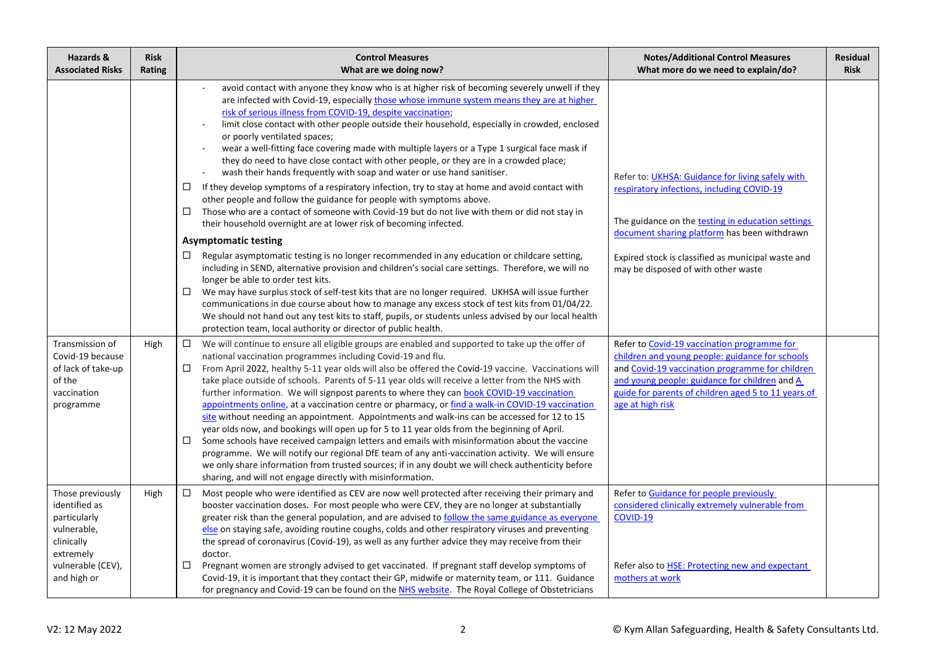| Hazards &<br><b>Associated Risks</b>                                                                                            | <b>Risk</b><br>Rating | <b>Control Measures</b><br>What are we doing now?                                                                                                                                                                                                                                                                                                                                                                                                                                                                                                                                                                                                                                                                                                                                                                                                                                                                                                                                                                                                                                                                                                                                                                                                                                                                                                                                                                                                                                                                                                                                                                                                                                                 | <b>Notes/Additional Control Measures</b><br>What more do we need to explain/do?                                                                                                                                                                                                                  | <b>Residual</b><br><b>Risk</b> |
|---------------------------------------------------------------------------------------------------------------------------------|-----------------------|---------------------------------------------------------------------------------------------------------------------------------------------------------------------------------------------------------------------------------------------------------------------------------------------------------------------------------------------------------------------------------------------------------------------------------------------------------------------------------------------------------------------------------------------------------------------------------------------------------------------------------------------------------------------------------------------------------------------------------------------------------------------------------------------------------------------------------------------------------------------------------------------------------------------------------------------------------------------------------------------------------------------------------------------------------------------------------------------------------------------------------------------------------------------------------------------------------------------------------------------------------------------------------------------------------------------------------------------------------------------------------------------------------------------------------------------------------------------------------------------------------------------------------------------------------------------------------------------------------------------------------------------------------------------------------------------------|--------------------------------------------------------------------------------------------------------------------------------------------------------------------------------------------------------------------------------------------------------------------------------------------------|--------------------------------|
|                                                                                                                                 |                       | avoid contact with anyone they know who is at higher risk of becoming severely unwell if they<br>are infected with Covid-19, especially those whose immune system means they are at higher<br>risk of serious illness from COVID-19, despite vaccination;<br>limit close contact with other people outside their household, especially in crowded, enclosed<br>or poorly ventilated spaces;<br>wear a well-fitting face covering made with multiple layers or a Type 1 surgical face mask if<br>they do need to have close contact with other people, or they are in a crowded place;<br>wash their hands frequently with soap and water or use hand sanitiser.<br>If they develop symptoms of a respiratory infection, try to stay at home and avoid contact with<br>□<br>other people and follow the guidance for people with symptoms above.<br>Those who are a contact of someone with Covid-19 but do not live with them or did not stay in<br>□<br>their household overnight are at lower risk of becoming infected.<br><b>Asymptomatic testing</b><br>Regular asymptomatic testing is no longer recommended in any education or childcare setting,<br>□<br>including in SEND, alternative provision and children's social care settings. Therefore, we will no<br>longer be able to order test kits.<br>□<br>We may have surplus stock of self-test kits that are no longer required. UKHSA will issue further<br>communications in due course about how to manage any excess stock of test kits from 01/04/22.<br>We should not hand out any test kits to staff, pupils, or students unless advised by our local health<br>protection team, local authority or director of public health. | Refer to: UKHSA: Guidance for living safely with<br>respiratory infections, including COVID-19<br>The guidance on the testing in education settings<br>document sharing platform has been withdrawn<br>Expired stock is classified as municipal waste and<br>may be disposed of with other waste |                                |
| Transmission of<br>Covid-19 because<br>of lack of take-up<br>of the<br>vaccination<br>programme                                 | High                  | □<br>We will continue to ensure all eligible groups are enabled and supported to take up the offer of<br>national vaccination programmes including Covid-19 and flu.<br>From April 2022, healthy 5-11 year olds will also be offered the Covid-19 vaccine. Vaccinations will<br>□<br>take place outside of schools. Parents of 5-11 year olds will receive a letter from the NHS with<br>further information. We will signpost parents to where they can book COVID-19 vaccination<br>appointments online, at a vaccination centre or pharmacy, or find a walk-in COVID-19 vaccination<br>site without needing an appointment. Appointments and walk-ins can be accessed for 12 to 15<br>year olds now, and bookings will open up for 5 to 11 year olds from the beginning of April.<br>Some schools have received campaign letters and emails with misinformation about the vaccine<br>□<br>programme. We will notify our regional DfE team of any anti-vaccination activity. We will ensure<br>we only share information from trusted sources; if in any doubt we will check authenticity before<br>sharing, and will not engage directly with misinformation.                                                                                                                                                                                                                                                                                                                                                                                                                                                                                                                                  | Refer to Covid-19 vaccination programme for<br>children and young people: guidance for schools<br>and Covid-19 vaccination programme for children<br>and young people: guidance for children and A<br>guide for parents of children aged 5 to 11 years of<br>age at high risk                    |                                |
| Those previously<br>identified as<br>particularly<br>vulnerable,<br>clinically<br>extremely<br>vulnerable (CEV),<br>and high or | High                  | $\Box$<br>Most people who were identified as CEV are now well protected after receiving their primary and<br>booster vaccination doses. For most people who were CEV, they are no longer at substantially<br>greater risk than the general population, and are advised to follow the same guidance as everyone<br>else on staying safe, avoiding routine coughs, colds and other respiratory viruses and preventing<br>the spread of coronavirus (Covid-19), as well as any further advice they may receive from their<br>doctor.<br>□<br>Pregnant women are strongly advised to get vaccinated. If pregnant staff develop symptoms of<br>Covid-19, it is important that they contact their GP, midwife or maternity team, or 111. Guidance<br>for pregnancy and Covid-19 can be found on the NHS website. The Royal College of Obstetricians                                                                                                                                                                                                                                                                                                                                                                                                                                                                                                                                                                                                                                                                                                                                                                                                                                                     | Refer to Guidance for people previously<br>considered clinically extremely vulnerable from<br><b>COVID-19</b><br>Refer also to <b>HSE: Protecting new and expectant</b><br>mothers at work                                                                                                       |                                |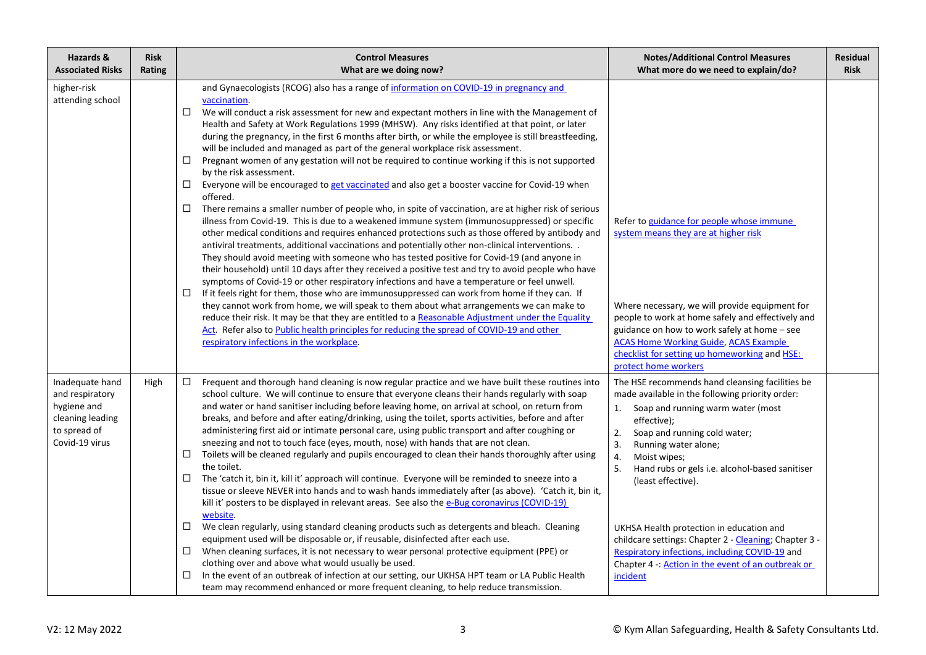| Hazards &<br><b>Associated Risks</b>                                                                    | <b>Risk</b><br>Rating | <b>Control Measures</b><br>What are we doing now?                                                                                                                                                                                                                                                                                                                                                                                                                                                                                                                                                                                                                                                                                                                                                                                                                                                                                                                                                                                                                                                                                                                                                                                                                                                                                                                                                                                                                                                                                                                                                                                                                                                                                                                                                                                                                                                                                               | <b>Notes/Additional Control Measures</b><br>What more do we need to explain/do?                                                                                                                                                                                                                                                                                                                                                                                                                                                                               | <b>Residual</b><br><b>Risk</b> |
|---------------------------------------------------------------------------------------------------------|-----------------------|-------------------------------------------------------------------------------------------------------------------------------------------------------------------------------------------------------------------------------------------------------------------------------------------------------------------------------------------------------------------------------------------------------------------------------------------------------------------------------------------------------------------------------------------------------------------------------------------------------------------------------------------------------------------------------------------------------------------------------------------------------------------------------------------------------------------------------------------------------------------------------------------------------------------------------------------------------------------------------------------------------------------------------------------------------------------------------------------------------------------------------------------------------------------------------------------------------------------------------------------------------------------------------------------------------------------------------------------------------------------------------------------------------------------------------------------------------------------------------------------------------------------------------------------------------------------------------------------------------------------------------------------------------------------------------------------------------------------------------------------------------------------------------------------------------------------------------------------------------------------------------------------------------------------------------------------------|---------------------------------------------------------------------------------------------------------------------------------------------------------------------------------------------------------------------------------------------------------------------------------------------------------------------------------------------------------------------------------------------------------------------------------------------------------------------------------------------------------------------------------------------------------------|--------------------------------|
| higher-risk<br>attending school                                                                         |                       | and Gynaecologists (RCOG) also has a range of information on COVID-19 in pregnancy and<br>vaccination.<br>We will conduct a risk assessment for new and expectant mothers in line with the Management of<br>□<br>Health and Safety at Work Regulations 1999 (MHSW). Any risks identified at that point, or later<br>during the pregnancy, in the first 6 months after birth, or while the employee is still breastfeeding,<br>will be included and managed as part of the general workplace risk assessment.<br>Pregnant women of any gestation will not be required to continue working if this is not supported<br>□<br>by the risk assessment.<br>Everyone will be encouraged to get vaccinated and also get a booster vaccine for Covid-19 when<br>□<br>offered.<br>There remains a smaller number of people who, in spite of vaccination, are at higher risk of serious<br>□<br>illness from Covid-19. This is due to a weakened immune system (immunosuppressed) or specific<br>other medical conditions and requires enhanced protections such as those offered by antibody and<br>antiviral treatments, additional vaccinations and potentially other non-clinical interventions. .<br>They should avoid meeting with someone who has tested positive for Covid-19 (and anyone in<br>their household) until 10 days after they received a positive test and try to avoid people who have<br>symptoms of Covid-19 or other respiratory infections and have a temperature or feel unwell.<br>If it feels right for them, those who are immunosuppressed can work from home if they can. If<br>□<br>they cannot work from home, we will speak to them about what arrangements we can make to<br>reduce their risk. It may be that they are entitled to a Reasonable Adjustment under the Equality<br>Act. Refer also to Public health principles for reducing the spread of COVID-19 and other<br>respiratory infections in the workplace. | Refer to guidance for people whose immune<br>system means they are at higher risk<br>Where necessary, we will provide equipment for<br>people to work at home safely and effectively and<br>guidance on how to work safely at home - see<br><b>ACAS Home Working Guide, ACAS Example</b><br>checklist for setting up homeworking and HSE:<br>protect home workers                                                                                                                                                                                             |                                |
| Inadequate hand<br>and respiratory<br>hygiene and<br>cleaning leading<br>to spread of<br>Covid-19 virus | High                  | Frequent and thorough hand cleaning is now regular practice and we have built these routines into<br>□<br>school culture. We will continue to ensure that everyone cleans their hands regularly with soap<br>and water or hand sanitiser including before leaving home, on arrival at school, on return from<br>breaks, and before and after eating/drinking, using the toilet, sports activities, before and after<br>administering first aid or intimate personal care, using public transport and after coughing or<br>sneezing and not to touch face (eyes, mouth, nose) with hands that are not clean.<br>Toilets will be cleaned regularly and pupils encouraged to clean their hands thoroughly after using<br>$\Box$<br>the toilet.<br>□<br>The 'catch it, bin it, kill it' approach will continue. Everyone will be reminded to sneeze into a<br>tissue or sleeve NEVER into hands and to wash hands immediately after (as above). 'Catch it, bin it,<br>kill it' posters to be displayed in relevant areas. See also the e-Bug coronavirus (COVID-19)<br>website.<br>$\Box$<br>We clean regularly, using standard cleaning products such as detergents and bleach. Cleaning<br>equipment used will be disposable or, if reusable, disinfected after each use.<br>When cleaning surfaces, it is not necessary to wear personal protective equipment (PPE) or<br>□<br>clothing over and above what would usually be used.<br>In the event of an outbreak of infection at our setting, our UKHSA HPT team or LA Public Health<br>□<br>team may recommend enhanced or more frequent cleaning, to help reduce transmission.                                                                                                                                                                                                                                                                                                                | The HSE recommends hand cleansing facilities be<br>made available in the following priority order:<br>Soap and running warm water (most<br>1.<br>effective);<br>2.<br>Soap and running cold water;<br>3.<br>Running water alone;<br>4.<br>Moist wipes;<br>5.<br>Hand rubs or gels i.e. alcohol-based sanitiser<br>(least effective).<br>UKHSA Health protection in education and<br>childcare settings: Chapter 2 - Cleaning; Chapter 3 -<br>Respiratory infections, including COVID-19 and<br>Chapter 4 -: Action in the event of an outbreak or<br>incident |                                |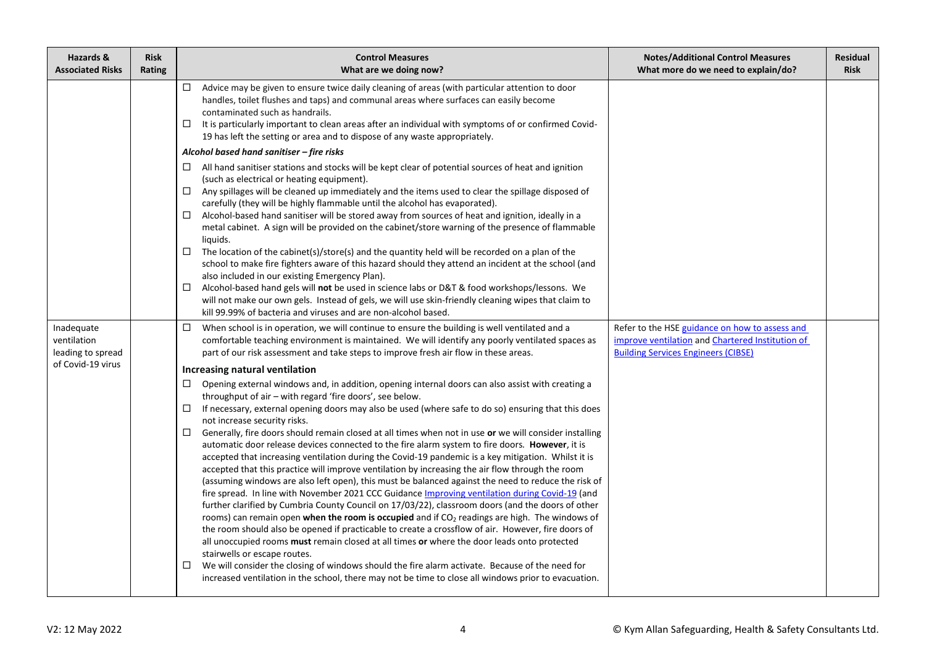| Hazards &<br><b>Associated Risks</b>           | <b>Risk</b><br>Rating | <b>Control Measures</b><br>What are we doing now?                                                                                                                                                                                                                                                                                                                                                                                                                                                                                                                                                                                                                                                                                                                                                                                                                                                                                                                                                                                                                                                                                                                                                                                                                                                                                                                                                                                                                                                                                                                                                                                      | <b>Notes/Additional Control Measures</b><br>What more do we need to explain/do?                                                                  | <b>Residual</b><br><b>Risk</b> |
|------------------------------------------------|-----------------------|----------------------------------------------------------------------------------------------------------------------------------------------------------------------------------------------------------------------------------------------------------------------------------------------------------------------------------------------------------------------------------------------------------------------------------------------------------------------------------------------------------------------------------------------------------------------------------------------------------------------------------------------------------------------------------------------------------------------------------------------------------------------------------------------------------------------------------------------------------------------------------------------------------------------------------------------------------------------------------------------------------------------------------------------------------------------------------------------------------------------------------------------------------------------------------------------------------------------------------------------------------------------------------------------------------------------------------------------------------------------------------------------------------------------------------------------------------------------------------------------------------------------------------------------------------------------------------------------------------------------------------------|--------------------------------------------------------------------------------------------------------------------------------------------------|--------------------------------|
|                                                |                       | Advice may be given to ensure twice daily cleaning of areas (with particular attention to door<br>$\Box$<br>handles, toilet flushes and taps) and communal areas where surfaces can easily become<br>contaminated such as handrails.<br>It is particularly important to clean areas after an individual with symptoms of or confirmed Covid-<br>ப<br>19 has left the setting or area and to dispose of any waste appropriately.                                                                                                                                                                                                                                                                                                                                                                                                                                                                                                                                                                                                                                                                                                                                                                                                                                                                                                                                                                                                                                                                                                                                                                                                        |                                                                                                                                                  |                                |
|                                                |                       | Alcohol based hand sanitiser - fire risks                                                                                                                                                                                                                                                                                                                                                                                                                                                                                                                                                                                                                                                                                                                                                                                                                                                                                                                                                                                                                                                                                                                                                                                                                                                                                                                                                                                                                                                                                                                                                                                              |                                                                                                                                                  |                                |
|                                                |                       | $\Box$ All hand sanitiser stations and stocks will be kept clear of potential sources of heat and ignition<br>(such as electrical or heating equipment).<br>Any spillages will be cleaned up immediately and the items used to clear the spillage disposed of<br>carefully (they will be highly flammable until the alcohol has evaporated).<br>Alcohol-based hand sanitiser will be stored away from sources of heat and ignition, ideally in a<br>□<br>metal cabinet. A sign will be provided on the cabinet/store warning of the presence of flammable<br>liquids.<br>The location of the cabinet(s)/store(s) and the quantity held will be recorded on a plan of the<br>□<br>school to make fire fighters aware of this hazard should they attend an incident at the school (and<br>also included in our existing Emergency Plan).<br>Alcohol-based hand gels will not be used in science labs or D&T & food workshops/lessons. We<br>$\Box$<br>will not make our own gels. Instead of gels, we will use skin-friendly cleaning wipes that claim to                                                                                                                                                                                                                                                                                                                                                                                                                                                                                                                                                                                |                                                                                                                                                  |                                |
|                                                |                       | kill 99.99% of bacteria and viruses and are non-alcohol based.                                                                                                                                                                                                                                                                                                                                                                                                                                                                                                                                                                                                                                                                                                                                                                                                                                                                                                                                                                                                                                                                                                                                                                                                                                                                                                                                                                                                                                                                                                                                                                         |                                                                                                                                                  |                                |
| Inadequate<br>ventilation<br>leading to spread |                       | $\Box$ When school is in operation, we will continue to ensure the building is well ventilated and a<br>comfortable teaching environment is maintained. We will identify any poorly ventilated spaces as<br>part of our risk assessment and take steps to improve fresh air flow in these areas.                                                                                                                                                                                                                                                                                                                                                                                                                                                                                                                                                                                                                                                                                                                                                                                                                                                                                                                                                                                                                                                                                                                                                                                                                                                                                                                                       | Refer to the HSE guidance on how to assess and<br>improve ventilation and Chartered Institution of<br><b>Building Services Engineers (CIBSE)</b> |                                |
| of Covid-19 virus                              |                       | Increasing natural ventilation                                                                                                                                                                                                                                                                                                                                                                                                                                                                                                                                                                                                                                                                                                                                                                                                                                                                                                                                                                                                                                                                                                                                                                                                                                                                                                                                                                                                                                                                                                                                                                                                         |                                                                                                                                                  |                                |
|                                                |                       | Opening external windows and, in addition, opening internal doors can also assist with creating a<br>$\Box$<br>throughput of air - with regard 'fire doors', see below.<br>$\Box$<br>If necessary, external opening doors may also be used (where safe to do so) ensuring that this does<br>not increase security risks.<br>□<br>Generally, fire doors should remain closed at all times when not in use or we will consider installing<br>automatic door release devices connected to the fire alarm system to fire doors. However, it is<br>accepted that increasing ventilation during the Covid-19 pandemic is a key mitigation. Whilst it is<br>accepted that this practice will improve ventilation by increasing the air flow through the room<br>(assuming windows are also left open), this must be balanced against the need to reduce the risk of<br>fire spread. In line with November 2021 CCC Guidance Improving ventilation during Covid-19 (and<br>further clarified by Cumbria County Council on 17/03/22), classroom doors (and the doors of other<br>rooms) can remain open when the room is occupied and if CO <sub>2</sub> readings are high. The windows of<br>the room should also be opened if practicable to create a crossflow of air. However, fire doors of<br>all unoccupied rooms must remain closed at all times or where the door leads onto protected<br>stairwells or escape routes.<br>We will consider the closing of windows should the fire alarm activate. Because of the need for<br>□<br>increased ventilation in the school, there may not be time to close all windows prior to evacuation. |                                                                                                                                                  |                                |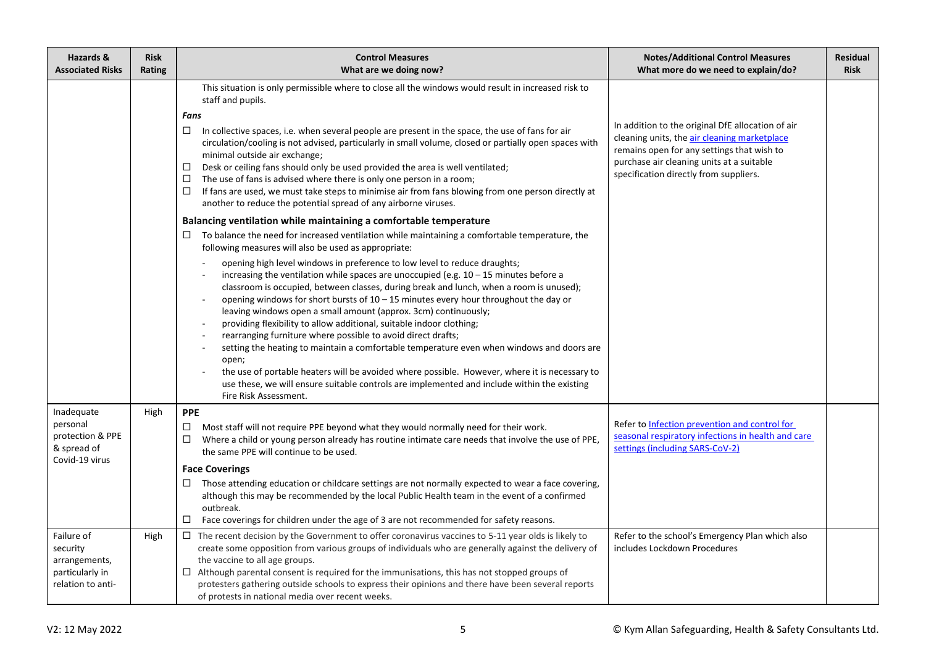| Hazards &<br><b>Associated Risks</b>                                            | <b>Risk</b><br>Rating | <b>Control Measures</b><br>What are we doing now?                                                                                                                                                                                                                                                                                                                                                                                                                                                                                                                                                                                                                                                                                                                                                                                                                                                                                                                                                                                                                                                                                                              | <b>Notes/Additional Control Measures</b><br>What more do we need to explain/do?                                                                                                                                                        | <b>Residual</b><br><b>Risk</b> |
|---------------------------------------------------------------------------------|-----------------------|----------------------------------------------------------------------------------------------------------------------------------------------------------------------------------------------------------------------------------------------------------------------------------------------------------------------------------------------------------------------------------------------------------------------------------------------------------------------------------------------------------------------------------------------------------------------------------------------------------------------------------------------------------------------------------------------------------------------------------------------------------------------------------------------------------------------------------------------------------------------------------------------------------------------------------------------------------------------------------------------------------------------------------------------------------------------------------------------------------------------------------------------------------------|----------------------------------------------------------------------------------------------------------------------------------------------------------------------------------------------------------------------------------------|--------------------------------|
|                                                                                 |                       | This situation is only permissible where to close all the windows would result in increased risk to<br>staff and pupils.<br>Fans<br>□<br>In collective spaces, i.e. when several people are present in the space, the use of fans for air<br>circulation/cooling is not advised, particularly in small volume, closed or partially open spaces with<br>minimal outside air exchange;<br>Desk or ceiling fans should only be used provided the area is well ventilated;<br>$\Box$<br>The use of fans is advised where there is only one person in a room;<br>□<br>If fans are used, we must take steps to minimise air from fans blowing from one person directly at<br>$\Box$<br>another to reduce the potential spread of any airborne viruses.<br>Balancing ventilation while maintaining a comfortable temperature<br>$\Box$ To balance the need for increased ventilation while maintaining a comfortable temperature, the<br>following measures will also be used as appropriate:<br>opening high level windows in preference to low level to reduce draughts;<br>increasing the ventilation while spaces are unoccupied (e.g. $10 - 15$ minutes before a | In addition to the original DfE allocation of air<br>cleaning units, the air cleaning marketplace<br>remains open for any settings that wish to<br>purchase air cleaning units at a suitable<br>specification directly from suppliers. |                                |
|                                                                                 |                       | classroom is occupied, between classes, during break and lunch, when a room is unused);<br>opening windows for short bursts of $10 - 15$ minutes every hour throughout the day or<br>leaving windows open a small amount (approx. 3cm) continuously;<br>providing flexibility to allow additional, suitable indoor clothing;<br>rearranging furniture where possible to avoid direct drafts;<br>setting the heating to maintain a comfortable temperature even when windows and doors are<br>open;<br>the use of portable heaters will be avoided where possible. However, where it is necessary to<br>use these, we will ensure suitable controls are implemented and include within the existing<br>Fire Risk Assessment.                                                                                                                                                                                                                                                                                                                                                                                                                                    |                                                                                                                                                                                                                                        |                                |
| Inadequate<br>personal<br>protection & PPE<br>& spread of<br>Covid-19 virus     | High                  | <b>PPE</b><br>Most staff will not require PPE beyond what they would normally need for their work.<br>□<br>Where a child or young person already has routine intimate care needs that involve the use of PPE,<br>$\Box$<br>the same PPE will continue to be used.<br><b>Face Coverings</b><br>Those attending education or childcare settings are not normally expected to wear a face covering,<br>$\Box$<br>although this may be recommended by the local Public Health team in the event of a confirmed<br>outbreak.<br>□<br>Face coverings for children under the age of 3 are not recommended for safety reasons.                                                                                                                                                                                                                                                                                                                                                                                                                                                                                                                                         | Refer to Infection prevention and control for<br>seasonal respiratory infections in health and care<br>settings (including SARS-CoV-2)                                                                                                 |                                |
| Failure of<br>security<br>arrangements,<br>particularly in<br>relation to anti- | High                  | $\Box$ The recent decision by the Government to offer coronavirus vaccines to 5-11 year olds is likely to<br>create some opposition from various groups of individuals who are generally against the delivery of<br>the vaccine to all age groups.<br>$\Box$ Although parental consent is required for the immunisations, this has not stopped groups of<br>protesters gathering outside schools to express their opinions and there have been several reports<br>of protests in national media over recent weeks.                                                                                                                                                                                                                                                                                                                                                                                                                                                                                                                                                                                                                                             | Refer to the school's Emergency Plan which also<br>includes Lockdown Procedures                                                                                                                                                        |                                |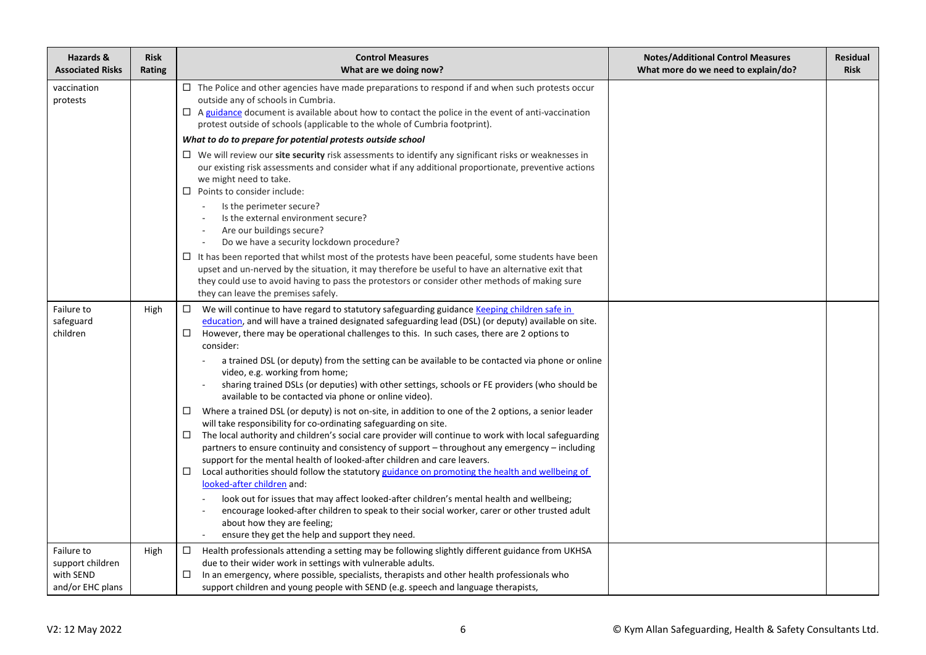| Hazards &<br><b>Associated Risks</b>                            | <b>Risk</b><br>Rating | <b>Control Measures</b><br>What are we doing now?                                                                                                                                                                                                                                                                                                                                                                                                                                                                                                                                                                                                                                                                                                                                                                                                                                                                                                                                                                                                                                                                                                                                                                                                                                                                                                                                                                                                                                                                            | <b>Notes/Additional Control Measures</b><br>What more do we need to explain/do? | <b>Residual</b><br><b>Risk</b> |
|-----------------------------------------------------------------|-----------------------|------------------------------------------------------------------------------------------------------------------------------------------------------------------------------------------------------------------------------------------------------------------------------------------------------------------------------------------------------------------------------------------------------------------------------------------------------------------------------------------------------------------------------------------------------------------------------------------------------------------------------------------------------------------------------------------------------------------------------------------------------------------------------------------------------------------------------------------------------------------------------------------------------------------------------------------------------------------------------------------------------------------------------------------------------------------------------------------------------------------------------------------------------------------------------------------------------------------------------------------------------------------------------------------------------------------------------------------------------------------------------------------------------------------------------------------------------------------------------------------------------------------------------|---------------------------------------------------------------------------------|--------------------------------|
| vaccination<br>protests                                         |                       | $\Box$ The Police and other agencies have made preparations to respond if and when such protests occur<br>outside any of schools in Cumbria.<br>$\Box$ A guidance document is available about how to contact the police in the event of anti-vaccination<br>protest outside of schools (applicable to the whole of Cumbria footprint).                                                                                                                                                                                                                                                                                                                                                                                                                                                                                                                                                                                                                                                                                                                                                                                                                                                                                                                                                                                                                                                                                                                                                                                       |                                                                                 |                                |
|                                                                 |                       | What to do to prepare for potential protests outside school                                                                                                                                                                                                                                                                                                                                                                                                                                                                                                                                                                                                                                                                                                                                                                                                                                                                                                                                                                                                                                                                                                                                                                                                                                                                                                                                                                                                                                                                  |                                                                                 |                                |
|                                                                 |                       | $\Box$ We will review our site security risk assessments to identify any significant risks or weaknesses in<br>our existing risk assessments and consider what if any additional proportionate, preventive actions<br>we might need to take.<br>Points to consider include:<br>$\Box$                                                                                                                                                                                                                                                                                                                                                                                                                                                                                                                                                                                                                                                                                                                                                                                                                                                                                                                                                                                                                                                                                                                                                                                                                                        |                                                                                 |                                |
|                                                                 |                       | Is the perimeter secure?<br>Is the external environment secure?<br>Are our buildings secure?<br>Do we have a security lockdown procedure?                                                                                                                                                                                                                                                                                                                                                                                                                                                                                                                                                                                                                                                                                                                                                                                                                                                                                                                                                                                                                                                                                                                                                                                                                                                                                                                                                                                    |                                                                                 |                                |
|                                                                 |                       | $\Box$ It has been reported that whilst most of the protests have been peaceful, some students have been<br>upset and un-nerved by the situation, it may therefore be useful to have an alternative exit that<br>they could use to avoid having to pass the protestors or consider other methods of making sure<br>they can leave the premises safely.                                                                                                                                                                                                                                                                                                                                                                                                                                                                                                                                                                                                                                                                                                                                                                                                                                                                                                                                                                                                                                                                                                                                                                       |                                                                                 |                                |
| Failure to<br>safeguard<br>children                             | High                  | We will continue to have regard to statutory safeguarding guidance Keeping children safe in<br>education, and will have a trained designated safeguarding lead (DSL) (or deputy) available on site.<br>However, there may be operational challenges to this. In such cases, there are 2 options to<br>□<br>consider:<br>a trained DSL (or deputy) from the setting can be available to be contacted via phone or online<br>video, e.g. working from home;<br>sharing trained DSLs (or deputies) with other settings, schools or FE providers (who should be<br>available to be contacted via phone or online video).<br>Where a trained DSL (or deputy) is not on-site, in addition to one of the 2 options, a senior leader<br>□<br>will take responsibility for co-ordinating safeguarding on site.<br>The local authority and children's social care provider will continue to work with local safeguarding<br>□<br>partners to ensure continuity and consistency of support - throughout any emergency - including<br>support for the mental health of looked-after children and care leavers.<br>Local authorities should follow the statutory guidance on promoting the health and wellbeing of<br>$\Box$<br>looked-after children and:<br>look out for issues that may affect looked-after children's mental health and wellbeing;<br>encourage looked-after children to speak to their social worker, carer or other trusted adult<br>about how they are feeling;<br>ensure they get the help and support they need. |                                                                                 |                                |
| Failure to<br>support children<br>with SEND<br>and/or EHC plans | High                  | Health professionals attending a setting may be following slightly different guidance from UKHSA<br>□<br>due to their wider work in settings with vulnerable adults.<br>In an emergency, where possible, specialists, therapists and other health professionals who<br>$\Box$<br>support children and young people with SEND (e.g. speech and language therapists,                                                                                                                                                                                                                                                                                                                                                                                                                                                                                                                                                                                                                                                                                                                                                                                                                                                                                                                                                                                                                                                                                                                                                           |                                                                                 |                                |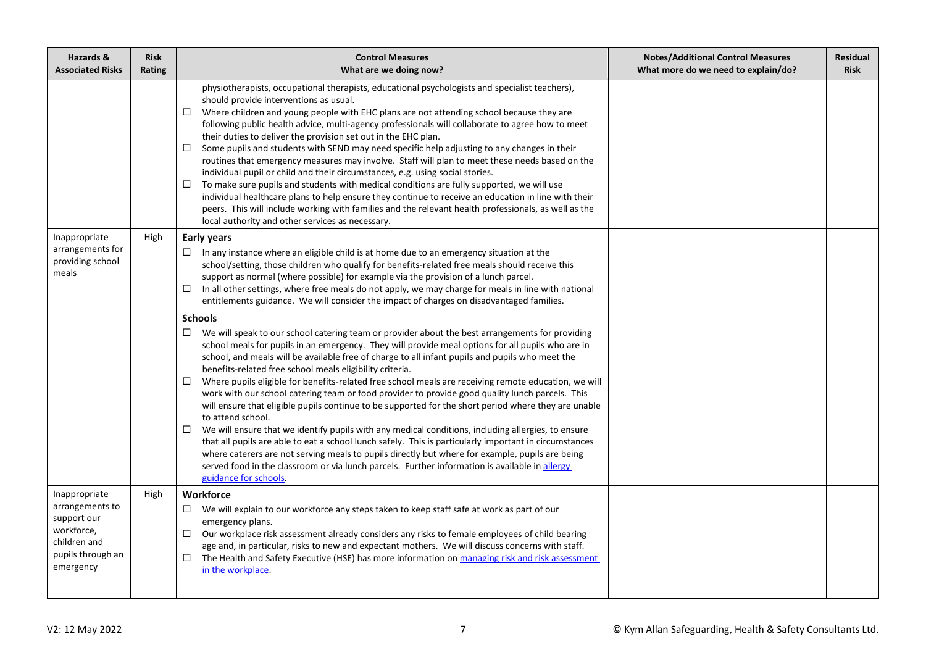| Hazards &<br><b>Associated Risks</b>                                                                            | <b>Risk</b><br>Rating | <b>Control Measures</b><br>What are we doing now?                                                                                                                                                                                                                                                                                                                                                                                                                                                                                                                                                                                                                                                                                                                                                                                                                                                                                                                                                                                                                                                                                                                                                                                                                                                                                                                                                                                                                                                                                                                                                                                                                                                                      | <b>Notes/Additional Control Measures</b><br>What more do we need to explain/do? | <b>Residual</b><br><b>Risk</b> |
|-----------------------------------------------------------------------------------------------------------------|-----------------------|------------------------------------------------------------------------------------------------------------------------------------------------------------------------------------------------------------------------------------------------------------------------------------------------------------------------------------------------------------------------------------------------------------------------------------------------------------------------------------------------------------------------------------------------------------------------------------------------------------------------------------------------------------------------------------------------------------------------------------------------------------------------------------------------------------------------------------------------------------------------------------------------------------------------------------------------------------------------------------------------------------------------------------------------------------------------------------------------------------------------------------------------------------------------------------------------------------------------------------------------------------------------------------------------------------------------------------------------------------------------------------------------------------------------------------------------------------------------------------------------------------------------------------------------------------------------------------------------------------------------------------------------------------------------------------------------------------------------|---------------------------------------------------------------------------------|--------------------------------|
|                                                                                                                 |                       | physiotherapists, occupational therapists, educational psychologists and specialist teachers),<br>should provide interventions as usual.<br>Where children and young people with EHC plans are not attending school because they are<br>$\Box$<br>following public health advice, multi-agency professionals will collaborate to agree how to meet<br>their duties to deliver the provision set out in the EHC plan.<br>□<br>Some pupils and students with SEND may need specific help adjusting to any changes in their<br>routines that emergency measures may involve. Staff will plan to meet these needs based on the<br>individual pupil or child and their circumstances, e.g. using social stories.<br>To make sure pupils and students with medical conditions are fully supported, we will use<br>□<br>individual healthcare plans to help ensure they continue to receive an education in line with their<br>peers. This will include working with families and the relevant health professionals, as well as the<br>local authority and other services as necessary.                                                                                                                                                                                                                                                                                                                                                                                                                                                                                                                                                                                                                                       |                                                                                 |                                |
| Inappropriate<br>arrangements for<br>providing school<br>meals                                                  | High                  | <b>Early years</b><br>In any instance where an eligible child is at home due to an emergency situation at the<br>□<br>school/setting, those children who qualify for benefits-related free meals should receive this<br>support as normal (where possible) for example via the provision of a lunch parcel.<br>In all other settings, where free meals do not apply, we may charge for meals in line with national<br>◻<br>entitlements guidance. We will consider the impact of charges on disadvantaged families.<br><b>Schools</b><br>We will speak to our school catering team or provider about the best arrangements for providing<br>□<br>school meals for pupils in an emergency. They will provide meal options for all pupils who are in<br>school, and meals will be available free of charge to all infant pupils and pupils who meet the<br>benefits-related free school meals eligibility criteria.<br>Where pupils eligible for benefits-related free school meals are receiving remote education, we will<br>□<br>work with our school catering team or food provider to provide good quality lunch parcels. This<br>will ensure that eligible pupils continue to be supported for the short period where they are unable<br>to attend school.<br>We will ensure that we identify pupils with any medical conditions, including allergies, to ensure<br>$\Box$<br>that all pupils are able to eat a school lunch safely. This is particularly important in circumstances<br>where caterers are not serving meals to pupils directly but where for example, pupils are being<br>served food in the classroom or via lunch parcels. Further information is available in allergy<br>guidance for schools. |                                                                                 |                                |
| Inappropriate<br>arrangements to<br>support our<br>workforce,<br>children and<br>pupils through an<br>emergency | High                  | Workforce<br>We will explain to our workforce any steps taken to keep staff safe at work as part of our<br>$\Box$<br>emergency plans.<br>Our workplace risk assessment already considers any risks to female employees of child bearing<br>□<br>age and, in particular, risks to new and expectant mothers. We will discuss concerns with staff.<br>The Health and Safety Executive (HSE) has more information on managing risk and risk assessment<br>□<br>in the workplace.                                                                                                                                                                                                                                                                                                                                                                                                                                                                                                                                                                                                                                                                                                                                                                                                                                                                                                                                                                                                                                                                                                                                                                                                                                          |                                                                                 |                                |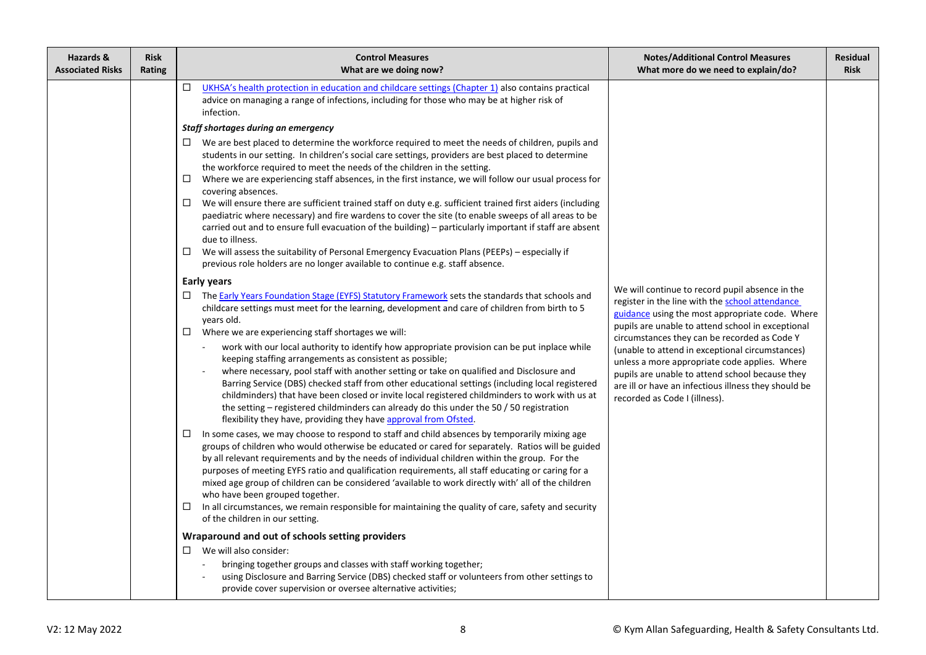| Hazards &<br><b>Associated Risks</b> | <b>Risk</b><br>Rating | <b>Control Measures</b><br>What are we doing now?                                                                                                                                                                                                                                                                                                                                                                                                                                                                                                                                                                                                                                                                                                                                                                                                                                                                                                                                                                                                                                                                                                                                                                                                                              | <b>Notes/Additional Control Measures</b><br>What more do we need to explain/do?                                                                                                                                                                                                                                                                                                                                                                                                                            | <b>Residual</b><br><b>Risk</b> |
|--------------------------------------|-----------------------|--------------------------------------------------------------------------------------------------------------------------------------------------------------------------------------------------------------------------------------------------------------------------------------------------------------------------------------------------------------------------------------------------------------------------------------------------------------------------------------------------------------------------------------------------------------------------------------------------------------------------------------------------------------------------------------------------------------------------------------------------------------------------------------------------------------------------------------------------------------------------------------------------------------------------------------------------------------------------------------------------------------------------------------------------------------------------------------------------------------------------------------------------------------------------------------------------------------------------------------------------------------------------------|------------------------------------------------------------------------------------------------------------------------------------------------------------------------------------------------------------------------------------------------------------------------------------------------------------------------------------------------------------------------------------------------------------------------------------------------------------------------------------------------------------|--------------------------------|
|                                      |                       | $\Box$<br>UKHSA's health protection in education and childcare settings (Chapter 1) also contains practical<br>advice on managing a range of infections, including for those who may be at higher risk of<br>infection.<br>Staff shortages during an emergency<br>$\Box$ We are best placed to determine the workforce required to meet the needs of children, pupils and<br>students in our setting. In children's social care settings, providers are best placed to determine<br>the workforce required to meet the needs of the children in the setting.<br>Where we are experiencing staff absences, in the first instance, we will follow our usual process for<br>□<br>covering absences.<br>$\Box$<br>We will ensure there are sufficient trained staff on duty e.g. sufficient trained first aiders (including<br>paediatric where necessary) and fire wardens to cover the site (to enable sweeps of all areas to be<br>carried out and to ensure full evacuation of the building) - particularly important if staff are absent<br>due to illness.<br>We will assess the suitability of Personal Emergency Evacuation Plans (PEEPs) - especially if<br>$\Box$<br>previous role holders are no longer available to continue e.g. staff absence.<br><b>Early years</b> |                                                                                                                                                                                                                                                                                                                                                                                                                                                                                                            |                                |
|                                      |                       | □ The Early Years Foundation Stage (EYFS) Statutory Framework sets the standards that schools and<br>childcare settings must meet for the learning, development and care of children from birth to 5<br>years old.<br>Where we are experiencing staff shortages we will:<br>$\Box$                                                                                                                                                                                                                                                                                                                                                                                                                                                                                                                                                                                                                                                                                                                                                                                                                                                                                                                                                                                             | We will continue to record pupil absence in the<br>register in the line with the school attendance<br>guidance using the most appropriate code. Where<br>pupils are unable to attend school in exceptional<br>circumstances they can be recorded as Code Y<br>(unable to attend in exceptional circumstances)<br>unless a more appropriate code applies. Where<br>pupils are unable to attend school because they<br>are ill or have an infectious illness they should be<br>recorded as Code I (illness). |                                |
|                                      |                       | work with our local authority to identify how appropriate provision can be put inplace while<br>keeping staffing arrangements as consistent as possible;<br>where necessary, pool staff with another setting or take on qualified and Disclosure and<br>Barring Service (DBS) checked staff from other educational settings (including local registered<br>childminders) that have been closed or invite local registered childminders to work with us at<br>the setting – registered childminders can already do this under the 50 $/$ 50 registration<br>flexibility they have, providing they have approval from Ofsted.                                                                                                                                                                                                                                                                                                                                                                                                                                                                                                                                                                                                                                                    |                                                                                                                                                                                                                                                                                                                                                                                                                                                                                                            |                                |
|                                      |                       | In some cases, we may choose to respond to staff and child absences by temporarily mixing age<br>groups of children who would otherwise be educated or cared for separately. Ratios will be guided<br>by all relevant requirements and by the needs of individual children within the group. For the<br>purposes of meeting EYFS ratio and qualification requirements, all staff educating or caring for a<br>mixed age group of children can be considered 'available to work directly with' all of the children<br>who have been grouped together.<br>In all circumstances, we remain responsible for maintaining the quality of care, safety and security<br>$\Box$<br>of the children in our setting.                                                                                                                                                                                                                                                                                                                                                                                                                                                                                                                                                                      |                                                                                                                                                                                                                                                                                                                                                                                                                                                                                                            |                                |
|                                      |                       | Wraparound and out of schools setting providers                                                                                                                                                                                                                                                                                                                                                                                                                                                                                                                                                                                                                                                                                                                                                                                                                                                                                                                                                                                                                                                                                                                                                                                                                                |                                                                                                                                                                                                                                                                                                                                                                                                                                                                                                            |                                |
|                                      |                       | We will also consider:<br>□<br>bringing together groups and classes with staff working together;<br>using Disclosure and Barring Service (DBS) checked staff or volunteers from other settings to<br>provide cover supervision or oversee alternative activities;                                                                                                                                                                                                                                                                                                                                                                                                                                                                                                                                                                                                                                                                                                                                                                                                                                                                                                                                                                                                              |                                                                                                                                                                                                                                                                                                                                                                                                                                                                                                            |                                |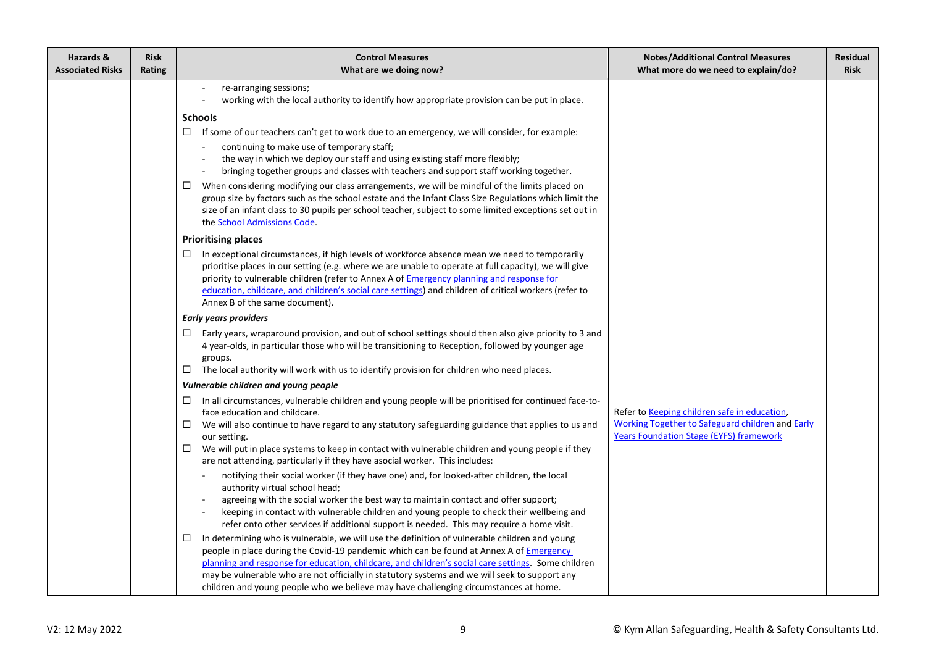| Hazards &<br><b>Associated Risks</b> | <b>Risk</b><br>Rating | <b>Control Measures</b><br>What are we doing now?                                                                                                                                                                                                                                                                                                                                                                                                                                                                                                                                                                                                                                                                                                                                                                                                                                                                                                                                                                                                                                                                                                                                                                                                                                                                                                                                                                                                | <b>Notes/Additional Control Measures</b><br>What more do we need to explain/do?                                                                           | <b>Residual</b><br><b>Risk</b> |
|--------------------------------------|-----------------------|--------------------------------------------------------------------------------------------------------------------------------------------------------------------------------------------------------------------------------------------------------------------------------------------------------------------------------------------------------------------------------------------------------------------------------------------------------------------------------------------------------------------------------------------------------------------------------------------------------------------------------------------------------------------------------------------------------------------------------------------------------------------------------------------------------------------------------------------------------------------------------------------------------------------------------------------------------------------------------------------------------------------------------------------------------------------------------------------------------------------------------------------------------------------------------------------------------------------------------------------------------------------------------------------------------------------------------------------------------------------------------------------------------------------------------------------------|-----------------------------------------------------------------------------------------------------------------------------------------------------------|--------------------------------|
|                                      |                       | re-arranging sessions;<br>working with the local authority to identify how appropriate provision can be put in place.<br><b>Schools</b><br>$\Box$<br>If some of our teachers can't get to work due to an emergency, we will consider, for example:<br>continuing to make use of temporary staff;<br>the way in which we deploy our staff and using existing staff more flexibly;<br>bringing together groups and classes with teachers and support staff working together.<br>When considering modifying our class arrangements, we will be mindful of the limits placed on<br>$\Box$<br>group size by factors such as the school estate and the Infant Class Size Regulations which limit the<br>size of an infant class to 30 pupils per school teacher, subject to some limited exceptions set out in<br>the School Admissions Code.                                                                                                                                                                                                                                                                                                                                                                                                                                                                                                                                                                                                          |                                                                                                                                                           |                                |
|                                      |                       | <b>Prioritising places</b><br>In exceptional circumstances, if high levels of workforce absence mean we need to temporarily<br>$\Box$<br>prioritise places in our setting (e.g. where we are unable to operate at full capacity), we will give<br>priority to vulnerable children (refer to Annex A of Emergency planning and response for<br>education, childcare, and children's social care settings) and children of critical workers (refer to<br>Annex B of the same document).                                                                                                                                                                                                                                                                                                                                                                                                                                                                                                                                                                                                                                                                                                                                                                                                                                                                                                                                                            |                                                                                                                                                           |                                |
|                                      |                       | <b>Early years providers</b><br>Early years, wraparound provision, and out of school settings should then also give priority to 3 and<br>$\Box$<br>4 year-olds, in particular those who will be transitioning to Reception, followed by younger age<br>groups.<br>The local authority will work with us to identify provision for children who need places.<br>$\Box$                                                                                                                                                                                                                                                                                                                                                                                                                                                                                                                                                                                                                                                                                                                                                                                                                                                                                                                                                                                                                                                                            |                                                                                                                                                           |                                |
|                                      |                       | Vulnerable children and young people<br>In all circumstances, vulnerable children and young people will be prioritised for continued face-to-<br>$\Box$<br>face education and childcare.<br>We will also continue to have regard to any statutory safeguarding guidance that applies to us and<br>$\Box$<br>our setting.<br>$\Box$ We will put in place systems to keep in contact with vulnerable children and young people if they<br>are not attending, particularly if they have asocial worker. This includes:<br>notifying their social worker (if they have one) and, for looked-after children, the local<br>authority virtual school head;<br>agreeing with the social worker the best way to maintain contact and offer support;<br>keeping in contact with vulnerable children and young people to check their wellbeing and<br>refer onto other services if additional support is needed. This may require a home visit.<br>In determining who is vulnerable, we will use the definition of vulnerable children and young<br>$\Box$<br>people in place during the Covid-19 pandemic which can be found at Annex A of <i>Emergency</i><br>planning and response for education, childcare, and children's social care settings. Some children<br>may be vulnerable who are not officially in statutory systems and we will seek to support any<br>children and young people who we believe may have challenging circumstances at home. | Refer to Keeping children safe in education,<br><b>Working Together to Safeguard children and Early</b><br><b>Years Foundation Stage (EYFS) framework</b> |                                |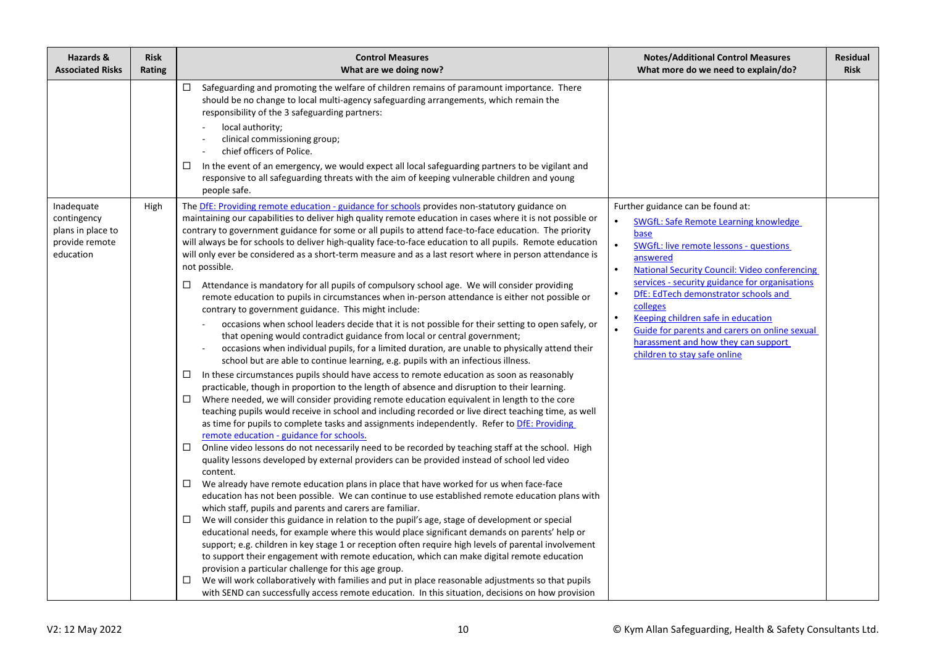| Hazards &<br><b>Associated Risks</b>                                          | <b>Risk</b><br>Rating | <b>Control Measures</b><br>What are we doing now?                                                                                                                                                                                                                                                                                                                                                                                                                                                                                                                                                                                                                                                                                                                                                                                                                                                                                                                                                                                                                                                                                                                                                                                                                                                                                                                                                                                                                                                                                                                                                                                                                                                                                                                                                                                                                                                                                                                                                                                                                                                                                                                                                                                                                                                                                                                                                                                                                                                                                                                                                                                                                                                                                                                                                                                                                                                                                                | <b>Notes/Additional Control Measures</b><br>What more do we need to explain/do?                                                                                                                                                                                                                                                                                                                                                                                                                                                 | <b>Residual</b><br><b>Risk</b> |
|-------------------------------------------------------------------------------|-----------------------|--------------------------------------------------------------------------------------------------------------------------------------------------------------------------------------------------------------------------------------------------------------------------------------------------------------------------------------------------------------------------------------------------------------------------------------------------------------------------------------------------------------------------------------------------------------------------------------------------------------------------------------------------------------------------------------------------------------------------------------------------------------------------------------------------------------------------------------------------------------------------------------------------------------------------------------------------------------------------------------------------------------------------------------------------------------------------------------------------------------------------------------------------------------------------------------------------------------------------------------------------------------------------------------------------------------------------------------------------------------------------------------------------------------------------------------------------------------------------------------------------------------------------------------------------------------------------------------------------------------------------------------------------------------------------------------------------------------------------------------------------------------------------------------------------------------------------------------------------------------------------------------------------------------------------------------------------------------------------------------------------------------------------------------------------------------------------------------------------------------------------------------------------------------------------------------------------------------------------------------------------------------------------------------------------------------------------------------------------------------------------------------------------------------------------------------------------------------------------------------------------------------------------------------------------------------------------------------------------------------------------------------------------------------------------------------------------------------------------------------------------------------------------------------------------------------------------------------------------------------------------------------------------------------------------------------------------|---------------------------------------------------------------------------------------------------------------------------------------------------------------------------------------------------------------------------------------------------------------------------------------------------------------------------------------------------------------------------------------------------------------------------------------------------------------------------------------------------------------------------------|--------------------------------|
|                                                                               |                       | $\Box$ Safeguarding and promoting the welfare of children remains of paramount importance. There<br>should be no change to local multi-agency safeguarding arrangements, which remain the<br>responsibility of the 3 safeguarding partners:<br>local authority;<br>clinical commissioning group;<br>chief officers of Police.<br>In the event of an emergency, we would expect all local safeguarding partners to be vigilant and<br>□<br>responsive to all safeguarding threats with the aim of keeping vulnerable children and young<br>people safe.                                                                                                                                                                                                                                                                                                                                                                                                                                                                                                                                                                                                                                                                                                                                                                                                                                                                                                                                                                                                                                                                                                                                                                                                                                                                                                                                                                                                                                                                                                                                                                                                                                                                                                                                                                                                                                                                                                                                                                                                                                                                                                                                                                                                                                                                                                                                                                                           |                                                                                                                                                                                                                                                                                                                                                                                                                                                                                                                                 |                                |
| Inadequate<br>contingency<br>plans in place to<br>provide remote<br>education | High                  | The DfE: Providing remote education - guidance for schools provides non-statutory guidance on<br>maintaining our capabilities to deliver high quality remote education in cases where it is not possible or<br>contrary to government guidance for some or all pupils to attend face-to-face education. The priority<br>will always be for schools to deliver high-quality face-to-face education to all pupils. Remote education<br>will only ever be considered as a short-term measure and as a last resort where in person attendance is<br>not possible.<br>Attendance is mandatory for all pupils of compulsory school age. We will consider providing<br>$\Box$<br>remote education to pupils in circumstances when in-person attendance is either not possible or<br>contrary to government guidance. This might include:<br>occasions when school leaders decide that it is not possible for their setting to open safely, or<br>that opening would contradict guidance from local or central government;<br>occasions when individual pupils, for a limited duration, are unable to physically attend their<br>school but are able to continue learning, e.g. pupils with an infectious illness.<br>In these circumstances pupils should have access to remote education as soon as reasonably<br>$\Box$<br>practicable, though in proportion to the length of absence and disruption to their learning.<br>Where needed, we will consider providing remote education equivalent in length to the core<br>□<br>teaching pupils would receive in school and including recorded or live direct teaching time, as well<br>as time for pupils to complete tasks and assignments independently. Refer to DfE: Providing<br>remote education - guidance for schools.<br>Online video lessons do not necessarily need to be recorded by teaching staff at the school. High<br>□<br>quality lessons developed by external providers can be provided instead of school led video<br>content.<br>We already have remote education plans in place that have worked for us when face-face<br>education has not been possible. We can continue to use established remote education plans with<br>which staff, pupils and parents and carers are familiar.<br>We will consider this guidance in relation to the pupil's age, stage of development or special<br>$\Box$<br>educational needs, for example where this would place significant demands on parents' help or<br>support; e.g. children in key stage 1 or reception often require high levels of parental involvement<br>to support their engagement with remote education, which can make digital remote education<br>provision a particular challenge for this age group.<br>We will work collaboratively with families and put in place reasonable adjustments so that pupils<br>□<br>with SEND can successfully access remote education. In this situation, decisions on how provision | Further guidance can be found at:<br>$\bullet$<br>SWGfL: Safe Remote Learning knowledge<br>base<br>$\bullet$<br><b>SWGfL: live remote lessons - questions</b><br>answered<br><b>National Security Council: Video conferencing</b><br>services - security guidance for organisations<br>DfE: EdTech demonstrator schools and<br>colleges<br>Keeping children safe in education<br>$\bullet$<br>$\bullet$<br>Guide for parents and carers on online sexual<br>harassment and how they can support<br>children to stay safe online |                                |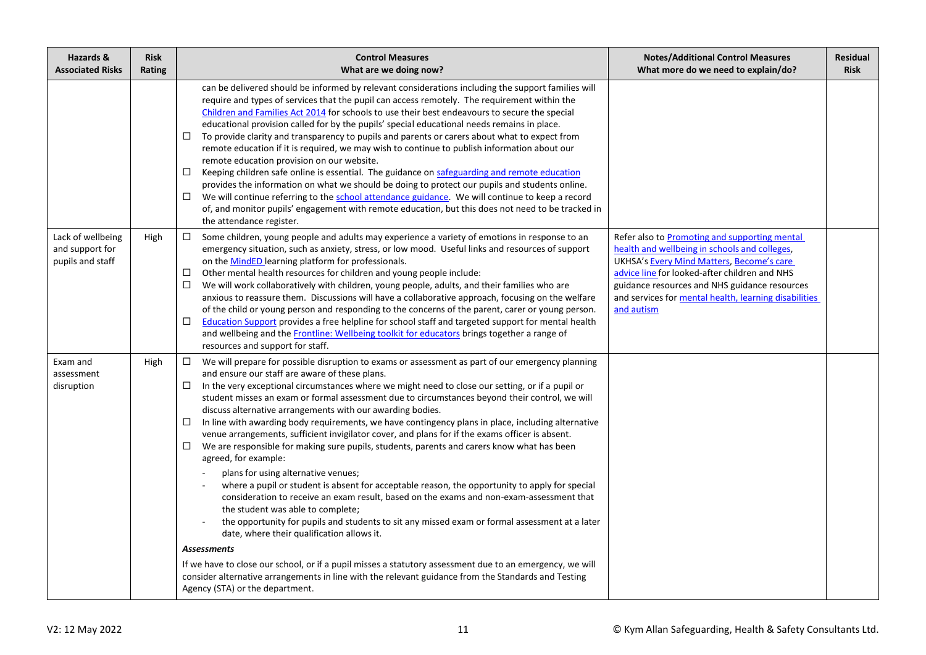| Hazards &<br><b>Associated Risks</b>                     | <b>Risk</b><br>Rating | <b>Control Measures</b><br>What are we doing now?                                                                                                                                                                                                                                                                                                                                                                                                                                                                                                                                                                                                                                                                                                                                                                                                                                                                                                                                                                                                                                                                                                                                                                                                                                                                                                                                                                                                                                    | <b>Notes/Additional Control Measures</b><br>What more do we need to explain/do?                                                                                                                                                                                                                                             | <b>Residual</b><br><b>Risk</b> |
|----------------------------------------------------------|-----------------------|--------------------------------------------------------------------------------------------------------------------------------------------------------------------------------------------------------------------------------------------------------------------------------------------------------------------------------------------------------------------------------------------------------------------------------------------------------------------------------------------------------------------------------------------------------------------------------------------------------------------------------------------------------------------------------------------------------------------------------------------------------------------------------------------------------------------------------------------------------------------------------------------------------------------------------------------------------------------------------------------------------------------------------------------------------------------------------------------------------------------------------------------------------------------------------------------------------------------------------------------------------------------------------------------------------------------------------------------------------------------------------------------------------------------------------------------------------------------------------------|-----------------------------------------------------------------------------------------------------------------------------------------------------------------------------------------------------------------------------------------------------------------------------------------------------------------------------|--------------------------------|
|                                                          |                       | can be delivered should be informed by relevant considerations including the support families will<br>require and types of services that the pupil can access remotely. The requirement within the<br>Children and Families Act 2014 for schools to use their best endeavours to secure the special<br>educational provision called for by the pupils' special educational needs remains in place.<br>To provide clarity and transparency to pupils and parents or carers about what to expect from<br>$\Box$<br>remote education if it is required, we may wish to continue to publish information about our<br>remote education provision on our website.<br>Keeping children safe online is essential. The guidance on safeguarding and remote education<br>□<br>provides the information on what we should be doing to protect our pupils and students online.<br>We will continue referring to the school attendance guidance. We will continue to keep a record<br>□<br>of, and monitor pupils' engagement with remote education, but this does not need to be tracked in<br>the attendance register.                                                                                                                                                                                                                                                                                                                                                                          |                                                                                                                                                                                                                                                                                                                             |                                |
| Lack of wellbeing<br>and support for<br>pupils and staff | High                  | Some children, young people and adults may experience a variety of emotions in response to an<br>$\Box$<br>emergency situation, such as anxiety, stress, or low mood. Useful links and resources of support<br>on the MindED learning platform for professionals.<br>Other mental health resources for children and young people include:<br>□<br>□<br>We will work collaboratively with children, young people, adults, and their families who are<br>anxious to reassure them. Discussions will have a collaborative approach, focusing on the welfare<br>of the child or young person and responding to the concerns of the parent, carer or young person.<br>□<br>Education Support provides a free helpline for school staff and targeted support for mental health<br>and wellbeing and the Frontline: Wellbeing toolkit for educators brings together a range of<br>resources and support for staff.                                                                                                                                                                                                                                                                                                                                                                                                                                                                                                                                                                          | Refer also to Promoting and supporting mental<br>health and wellbeing in schools and colleges,<br><b>UKHSA's Every Mind Matters, Become's care</b><br>advice line for looked-after children and NHS<br>guidance resources and NHS guidance resources<br>and services for mental health, learning disabilities<br>and autism |                                |
| Exam and<br>assessment<br>disruption                     | High                  | We will prepare for possible disruption to exams or assessment as part of our emergency planning<br>$\Box$<br>and ensure our staff are aware of these plans.<br>In the very exceptional circumstances where we might need to close our setting, or if a pupil or<br>□<br>student misses an exam or formal assessment due to circumstances beyond their control, we will<br>discuss alternative arrangements with our awarding bodies.<br>In line with awarding body requirements, we have contingency plans in place, including alternative<br>□<br>venue arrangements, sufficient invigilator cover, and plans for if the exams officer is absent.<br>We are responsible for making sure pupils, students, parents and carers know what has been<br>□<br>agreed, for example:<br>plans for using alternative venues;<br>where a pupil or student is absent for acceptable reason, the opportunity to apply for special<br>consideration to receive an exam result, based on the exams and non-exam-assessment that<br>the student was able to complete;<br>the opportunity for pupils and students to sit any missed exam or formal assessment at a later<br>date, where their qualification allows it.<br><b>Assessments</b><br>If we have to close our school, or if a pupil misses a statutory assessment due to an emergency, we will<br>consider alternative arrangements in line with the relevant guidance from the Standards and Testing<br>Agency (STA) or the department. |                                                                                                                                                                                                                                                                                                                             |                                |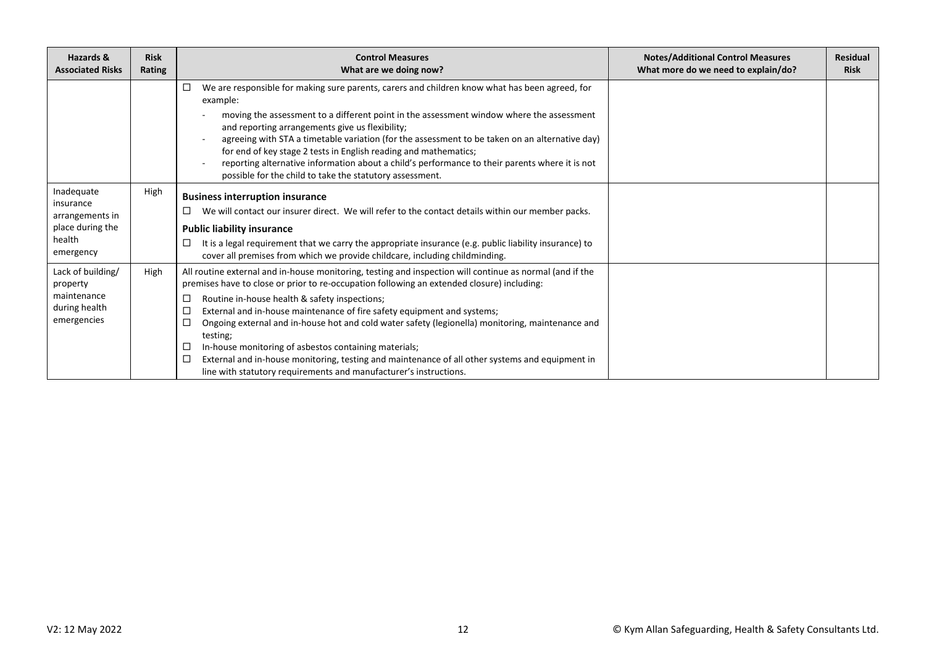| Hazards &<br><b>Associated Risks</b>                                                  | <b>Risk</b><br>Rating | <b>Control Measures</b><br>What are we doing now?                                                                                                                                                                                                                                                                                                                                                                                                                                                                                                                                                                                                                                                       | <b>Notes/Additional Control Measures</b><br>What more do we need to explain/do? | <b>Residual</b><br><b>Risk</b> |
|---------------------------------------------------------------------------------------|-----------------------|---------------------------------------------------------------------------------------------------------------------------------------------------------------------------------------------------------------------------------------------------------------------------------------------------------------------------------------------------------------------------------------------------------------------------------------------------------------------------------------------------------------------------------------------------------------------------------------------------------------------------------------------------------------------------------------------------------|---------------------------------------------------------------------------------|--------------------------------|
|                                                                                       |                       | We are responsible for making sure parents, carers and children know what has been agreed, for<br>□<br>example:<br>moving the assessment to a different point in the assessment window where the assessment<br>and reporting arrangements give us flexibility;<br>agreeing with STA a timetable variation (for the assessment to be taken on an alternative day)<br>for end of key stage 2 tests in English reading and mathematics;<br>reporting alternative information about a child's performance to their parents where it is not<br>possible for the child to take the statutory assessment.                                                                                                      |                                                                                 |                                |
| Inadequate<br>insurance<br>arrangements in<br>place during the<br>health<br>emergency | High                  | <b>Business interruption insurance</b><br>We will contact our insurer direct. We will refer to the contact details within our member packs.<br><b>Public liability insurance</b><br>It is a legal requirement that we carry the appropriate insurance (e.g. public liability insurance) to<br>cover all premises from which we provide childcare, including childminding.                                                                                                                                                                                                                                                                                                                               |                                                                                 |                                |
| Lack of building/<br>property<br>maintenance<br>during health<br>emergencies          | High                  | All routine external and in-house monitoring, testing and inspection will continue as normal (and if the<br>premises have to close or prior to re-occupation following an extended closure) including:<br>Routine in-house health & safety inspections;<br>□<br>External and in-house maintenance of fire safety equipment and systems;<br>□<br>Ongoing external and in-house hot and cold water safety (legionella) monitoring, maintenance and<br>testing;<br>In-house monitoring of asbestos containing materials;<br>□<br>External and in-house monitoring, testing and maintenance of all other systems and equipment in<br>□<br>line with statutory requirements and manufacturer's instructions. |                                                                                 |                                |